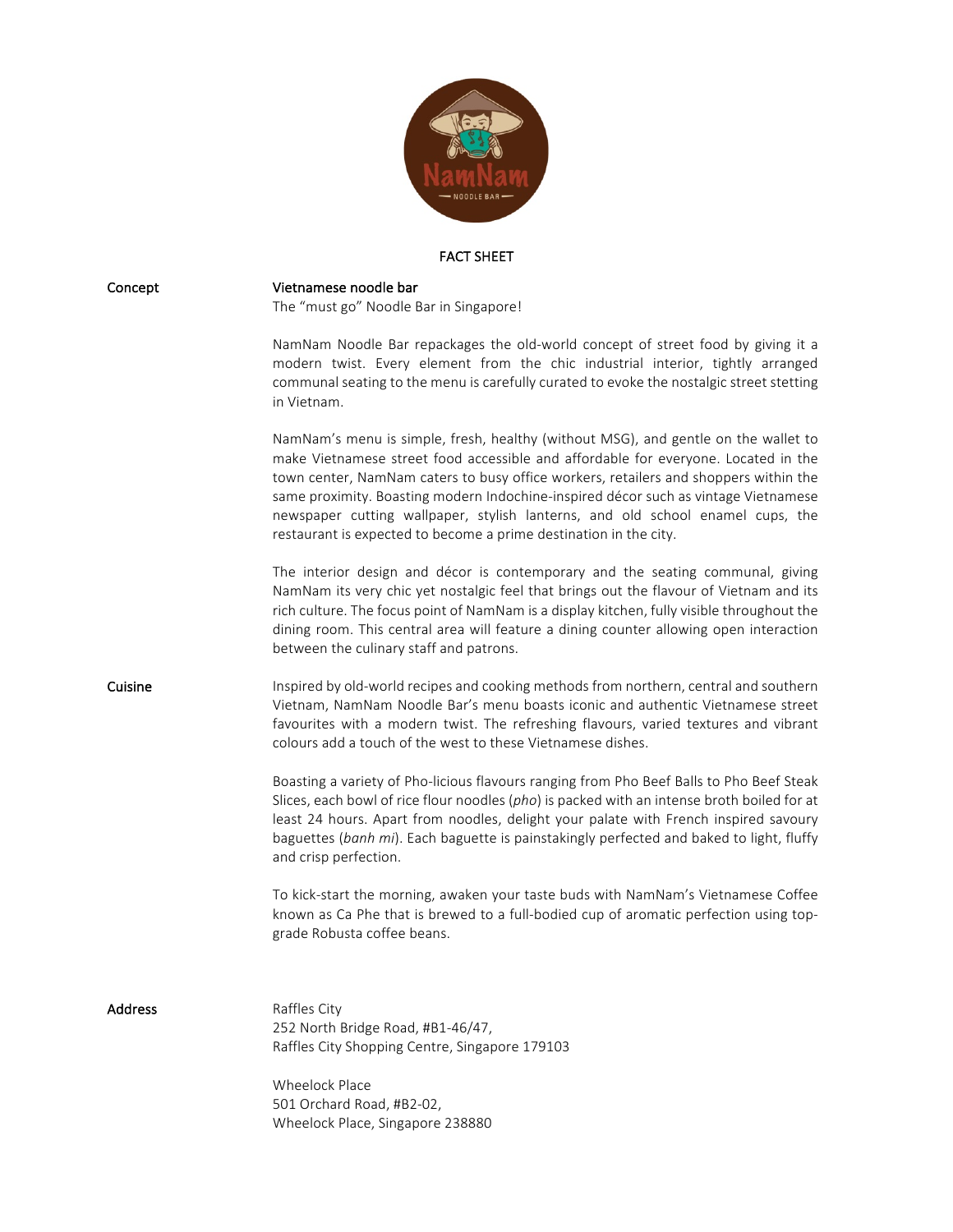

## FACT SHEET

| Concept        | Vietnamese noodle bar<br>The "must go" Noodle Bar in Singapore!                                                                                                                                                                                                                                                                                                                                                                                                                                                |
|----------------|----------------------------------------------------------------------------------------------------------------------------------------------------------------------------------------------------------------------------------------------------------------------------------------------------------------------------------------------------------------------------------------------------------------------------------------------------------------------------------------------------------------|
|                | NamNam Noodle Bar repackages the old-world concept of street food by giving it a<br>modern twist. Every element from the chic industrial interior, tightly arranged<br>communal seating to the menu is carefully curated to evoke the nostalgic street stetting<br>in Vietnam.                                                                                                                                                                                                                                 |
|                | NamNam's menu is simple, fresh, healthy (without MSG), and gentle on the wallet to<br>make Vietnamese street food accessible and affordable for everyone. Located in the<br>town center, NamNam caters to busy office workers, retailers and shoppers within the<br>same proximity. Boasting modern Indochine-inspired décor such as vintage Vietnamese<br>newspaper cutting wallpaper, stylish lanterns, and old school enamel cups, the<br>restaurant is expected to become a prime destination in the city. |
|                | The interior design and décor is contemporary and the seating communal, giving<br>NamNam its very chic yet nostalgic feel that brings out the flavour of Vietnam and its<br>rich culture. The focus point of NamNam is a display kitchen, fully visible throughout the<br>dining room. This central area will feature a dining counter allowing open interaction<br>between the culinary staff and patrons.                                                                                                    |
| Cuisine        | Inspired by old-world recipes and cooking methods from northern, central and southern<br>Vietnam, NamNam Noodle Bar's menu boasts iconic and authentic Vietnamese street<br>favourites with a modern twist. The refreshing flavours, varied textures and vibrant<br>colours add a touch of the west to these Vietnamese dishes.                                                                                                                                                                                |
|                | Boasting a variety of Pho-licious flavours ranging from Pho Beef Balls to Pho Beef Steak<br>Slices, each bowl of rice flour noodles (pho) is packed with an intense broth boiled for at<br>least 24 hours. Apart from noodles, delight your palate with French inspired savoury<br>baguettes (banh mi). Each baguette is painstakingly perfected and baked to light, fluffy<br>and crisp perfection.                                                                                                           |
|                | To kick-start the morning, awaken your taste buds with NamNam's Vietnamese Coffee<br>known as Ca Phe that is brewed to a full-bodied cup of aromatic perfection using top-<br>grade Robusta coffee beans.                                                                                                                                                                                                                                                                                                      |
| <b>Address</b> | Raffles City<br>252 North Bridge Road, #B1-46/47,<br>Raffles City Shopping Centre, Singapore 179103                                                                                                                                                                                                                                                                                                                                                                                                            |
|                | <b>Wheelock Place</b><br>501 Orchard Road, #B2-02,<br>Wheelock Place, Singapore 238880                                                                                                                                                                                                                                                                                                                                                                                                                         |